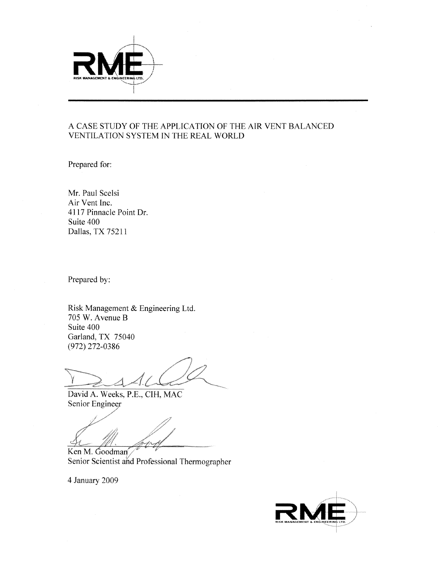

## A CASE STUDY OF THE APPLICATION OF THE AIR VENT BALANCED VENTILATION SYSTEM IN THE REAL WORLD

Prepared for:

Mr. Paul Scelsi Air Vent Inc. 4117 Pinnacle Point Dr. Suite 400 Dallas, TX 75211

Prepared by:

Risk Management & Engineering Ltd. 705 W. Avenue B Suite 400 Garland, TX 75040  $(972)$  272-0386

David A. Weeks, P.E., CIH, MAC Senior Engineer

<u>t St</u>

Ken M. Goodman Senior Scientist and Professional Thermographer

4 January 2009

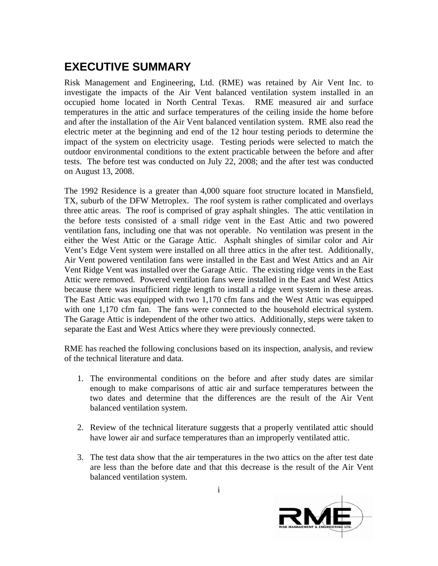## **EXECUTIVE SUMMARY**

Risk Management and Engineering, Ltd. (RME) was retained by Air Vent Inc. to investigate the impacts of the Air Vent balanced ventilation system installed in an occupied home located in North Central Texas. RME measured air and surface temperatures in the attic and surface temperatures of the ceiling inside the home before and after the installation of the Air Vent balanced ventilation system. RME also read the electric meter at the beginning and end of the 12 hour testing periods to determine the impact of the system on electricity usage. Testing periods were selected to match the outdoor environmental conditions to the extent practicable between the before and after tests. The before test was conducted on July 22, 2008; and the after test was conducted on August 13, 2008.

The 1992 Residence is a greater than 4,000 square foot structure located in Mansfield, TX, suburb of the DFW Metroplex. The roof system is rather complicated and overlays three attic areas. The roof is comprised of gray asphalt shingles. The attic ventilation in the before tests consisted of a small ridge vent in the East Attic and two powered ventilation fans, including one that was not operable. No ventilation was present in the either the West Attic or the Garage Attic. Asphalt shingles of similar color and Air Vent's Edge Vent system were installed on all three attics in the after test. Additionally, Air Vent powered ventilation fans were installed in the East and West Attics and an Air Vent Ridge Vent was installed over the Garage Attic. The existing ridge vents in the East Attic were removed. Powered ventilation fans were installed in the East and West Attics because there was insufficient ridge length to install a ridge vent system in these areas. The East Attic was equipped with two 1,170 cfm fans and the West Attic was equipped with one 1,170 cfm fan. The fans were connected to the household electrical system. The Garage Attic is independent of the other two attics. Additionally, steps were taken to separate the East and West Attics where they were previously connected.

RME has reached the following conclusions based on its inspection, analysis, and review of the technical literature and data.

- 1. The environmental conditions on the before and after study dates are similar enough to make comparisons of attic air and surface temperatures between the two dates and determine that the differences are the result of the Air Vent balanced ventilation system.
- 2. Review of the technical literature suggests that a properly ventilated attic should have lower air and surface temperatures than an improperly ventilated attic.
- 3. The test data show that the air temperatures in the two attics on the after test date are less than the before date and that this decrease is the result of the Air Vent balanced ventilation system.